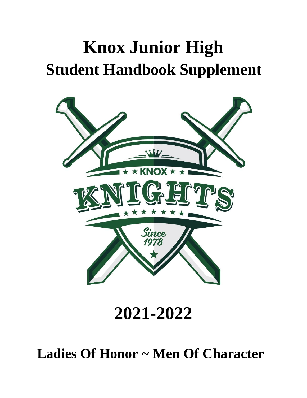# **Knox Junior High Student Handbook Supplement**



**2021-2022**

**Ladies Of Honor ~ Men Of Character**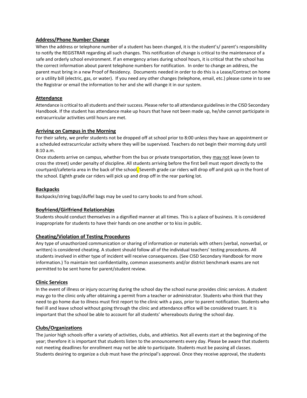## **Address/Phone Number Change**

When the address or telephone number of a student has been changed, it is the student's/ parent's responsibility to notify the REGISTRAR regarding all such changes. This notification of change is critical to the maintenance of a safe and orderly school environment. If an emergency arises during school hours, it is critical that the school has the correct information about parent telephone numbers for notification. In order to change an address, the parent must bring in a new Proof of Residency. Documents needed in order to do this is a Lease/Contract on home or a utility bill (electric, gas, or water). If you need any other changes (telephone, email, etc.) please come in to see the Registrar or email the information to her and she will change it in our system.

## **Attendance**

Attendance is critical to all students and their success. Please refer to all attendance guidelines in the CISD Secondary Handbook. If the student has attendance make up hours that have not been made up, he/she cannot participate in extracurricular activities until hours are met.

#### **Arriving on Campus in the Morning**

For their safety, we prefer students not be dropped off at school prior to 8:00 unless they have an appointment or a scheduled extracurricular activity where they will be supervised. Teachers do not begin their morning duty until 8:10 a.m.

Once students arrive on campus, whether from the bus or private transportation, they may not leave (even to cross the street) under penalty of discipline. All students arriving before the first bell must report directly to the courtyard/cafeteria area in the back of the school. Seventh grade car riders will drop off and pick up in the front of the school. Eighth grade car riders will pick up and drop off in the rear parking lot.

## **Backpacks**

Backpacks/string bags/duffel bags may be used to carry books to and from school.

#### **Boyfriend/Girlfriend Relationships**

Students should conduct themselves in a dignified manner at all times. This is a place of business. It is considered inappropriate for students to have their hands on one another or to kiss in public.

#### **Cheating/Violation of Testing Procedures**

Any type of unauthorized communication or sharing of information or materials with others (verbal, nonverbal, or written) is considered cheating. A student should follow all of the individual teachers' testing procedures. All students involved in either type of incident will receive consequences. (See CISD Secondary Handbook for more information.) To maintain test confidentiality, common assessments and/or district benchmark exams are not permitted to be sent home for parent/student review.

#### **Clinic Services**

In the event of illness or injury occurring during the school day the school nurse provides clinic services. A student may go to the clinic only after obtaining a permit from a teacher or administrator. Students who think that they need to go home due to illness must first report to the clinic with a pass, prior to parent notification. Students who feel ill and leave school without going through the clinic and attendance office will be considered truant. It is important that the school be able to account for all students' whereabouts during the school day.

#### **Clubs/Organizations**

The junior high schools offer a variety of activities, clubs, and athletics. Not all events start at the beginning of the year; therefore it is important that students listen to the announcements every day. Please be aware that students not meeting deadlines for enrollment may not be able to participate. Students must be passing all classes. Students desiring to organize a club must have the principal's approval. Once they receive approval, the students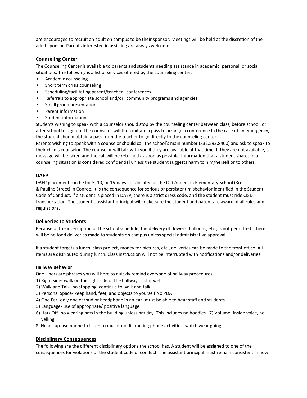are encouraged to recruit an adult on campus to be their sponsor. Meetings will be held at the discretion of the adult sponsor. Parents interested in assisting are always welcome!

## **Counseling Center**

The Counseling Center is available to parents and students needing assistance in academic, personal, or social situations. The following is a list of services offered by the counseling center:

- Academic counseling
- Short term crisis counseling
- Scheduling/facilitating parent/teacher conferences
- Referrals to appropriate school and/or community programs and agencies
- Small group presentations
- Parent information
- Student information

Students wishing to speak with a counselor should stop by the counseling center between class, before school, or after school to sign up. The counselor will then initiate a pass to arrange a conference In the case of an emergency, the student should obtain a pass from the teacher to go directly to the counseling center.

Parents wishing to speak with a counselor should call the school's main number (832.592.8400) and ask to speak to their child's counselor. The counselor will talk with you if they are available at that time. If they are not available, a message will be taken and the call will be returned as soon as possible. Information that a student shares in a counseling situation is considered confidential unless the student suggests harm to him/herself or to others.

## **DAEP**

DAEP placement can be for 5, 10, or 15-days. It is located at the Old Anderson Elementary School (3rd & Pauline Street) in Conroe. It is the consequence for serious or persistent misbehavior identified in the Student Code of Conduct. If a student is placed in DAEP, there is a strict dress code, and the student must ride CISD transportation. The student's assistant principal will make sure the student and parent are aware of all rules and regulations.

#### **Deliveries to Students**

Because of the interruption of the school schedule, the delivery of flowers, balloons, etc., is not permitted. There will be no food deliveries made to students on campus unless special administrative approval.

If a student forgets a lunch, class project, money for pictures, etc., deliveries can be made to the front office. All items are distributed during lunch. Class instruction will not be interrupted with notifications and/or deliveries.

#### **Hallway Behavior**

One Liners are phrases you will here to quickly remind everyone of hallway procedures.

- 1) Right side- walk on the right side of the hallway or stairwell
- 2) Walk and Talk- no stopping, continue to walk and talk
- 3) Personal Space- keep hand, feet, and objects to yourself No PDA
- 4) One Ear- only one earbud or headphone in an ear- must be able to hear staff and students
- 5) Language- use of appropriate/ positive language
- 6) Hats Off- no wearing hats in the building unless hat day. This includes no hoodies. 7) Volume- inside voice, no yelling
- 8) Heads up-use phone to listen to music, no distracting phone activities- watch wear going

#### **Disciplinary Consequences**

The following are the different disciplinary options the school has. A student will be assigned to one of the consequences for violations of the student code of conduct. The assistant principal must remain consistent in how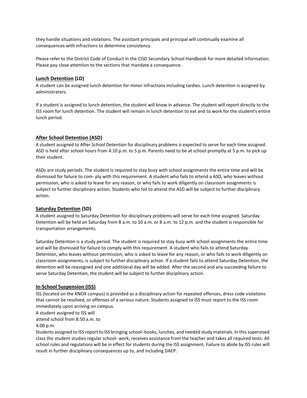they handle situations and violations. The assistant principals and principal will continually examine all consequences with infractions to determine consistency.

Please refer to the District Code of Conduct in the CISD Secondary School Handbook for more detailed information. Please pay close attention to the sections that mandate a consequence.

## **Lunch Detention (LD)**

A student can be assigned lunch detention for minor infractions including tardies. Lunch detention is assigned by administrators.

If a student is assigned to lunch detention, the student will know in advance. The student will report directly to the ISS room for lunch detention. The student will remain in lunch detention to eat and to work for the student's entire lunch period.

## **After School Detention (ASD)**

A student assigned to After School Detention for disciplinary problems is expected to serve for each time assigned. ASD is held after school hours from 4:10 p.m. to 5 p.m. Parents need to be at school promptly at 5 p.m. to pick up their student.

ASDs are study periods. The student is required to stay busy with school assignments the entire time and will be dismissed for failure to com- ply with this requirement. A student who fails to attend a ASD, who leaves without permission, who is asked to leave for any reason, or who fails to work diligently on classroom assignments is subject to further disciplinary action. Students who fail to attend the ASD will be subject to further disciplinary action.

#### **Saturday Detention (SD)**

A student assigned to Saturday Detention for disciplinary problems will serve for each time assigned. Saturday Detention will be held on Saturday from 8 a.m. to 10 a.m. or 8 a.m. to 12 p.m. and the student is responsible for transportation arrangements.

Saturday Detention is a study period. The student is required to stay busy with school assignments the entire time and will be dismissed for failure to comply with this requirement. A student who fails to attend Saturday Detention, who leaves without permission, who is asked to leave for any reason, or who fails to work diligently on classroom assignments, is subject to further disciplinary action. If a student fails to attend Saturday Detention, the detention will be reassigned and one additional day will be added. After the second and any succeeding failure to serve Saturday Detention, the student will be subject to further disciplinary action.

#### **In-School Suspension (ISS)**

ISS (located on the KNOX campus) is provided as a disciplinary action for repeated offenses, dress code violations that cannot be resolved, or offenses of a serious nature. Students assigned to ISS must report to the ISS room immediately upon arriving on campus.

A student assigned to ISS will

attend school from 8:50 a.m. to

4:00 p.m.

Students assigned to ISS report to ISS bringing school- books, lunches, and needed study materials. In this supervised class the student studies regular school- work, receives assistance from the teacher and takes all required tests. All school rules and regulations will be in effect for students during the ISS assignment. Failure to abide by ISS rules will result in further disciplinary consequences up to, and including DAEP.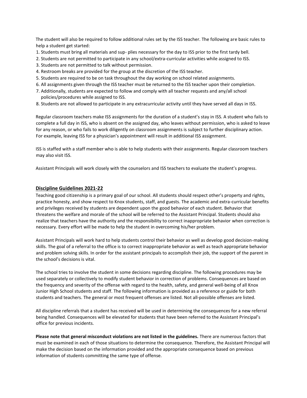The student will also be required to follow additional rules set by the ISS teacher. The following are basic rules to help a student get started:

- 1. Students must bring all materials and sup- plies necessary for the day to ISS prior to the first tardy bell.
- 2. Students are not permitted to participate in any school/extra-curricular activities while assigned to ISS.
- 3. Students are not permitted to talk without permission.
- 4. Restroom breaks are provided for the group at the discretion of the ISS teacher.
- 5. Students are required to be on task throughout the day working on school related assignments.
- 6. All assignments given through the ISS teacher must be returned to the ISS teacher upon their completion.
- 7. Additionally, students are expected to follow and comply with all teacher requests and any/all school policies/procedures while assigned to ISS.
- 8. Students are not allowed to participate in any extracurricular activity until they have served all days in ISS.

Regular classroom teachers make ISS assignments for the duration of a student's stay in ISS. A student who fails to complete a full day in ISS, who is absent on the assigned day, who leaves without permission, who is asked to leave for any reason, or who fails to work diligently on classroom assignments is subject to further disciplinary action. For example, leaving ISS for a physician's appointment will result in additional ISS assignment.

ISS is staffed with a staff member who is able to help students with their assignments. Regular classroom teachers may also visit ISS.

Assistant Principals will work closely with the counselors and ISS teachers to evaluate the student's progress.

#### **Discipline Guidelines 2021-22**

Teaching good citizenship is a primary goal of our school. All students should respect other's property and rights, practice honesty, and show respect to Knox students, staff, and guests. The academic and extra-curricular benefits and privileges received by students are dependent upon the good behavior of each student. Behavior that threatens the welfare and morale of the school will be referred to the Assistant Principal. Students should also realize that teachers have the authority and the responsibility to correct inappropriate behavior when correction is necessary. Every effort will be made to help the student in overcoming his/her problem.

Assistant Principals will work hard to help students control their behavior as well as develop good decision-making skills. The goal of a referral to the office is to correct inappropriate behavior as well as teach appropriate behavior and problem solving skills. In order for the assistant principals to accomplish their job, the support of the parent in the school's decisions is vital.

The school tries to involve the student in some decisions regarding discipline. The following procedures may be used separately or collectively to modify student behavior in correction of problems. Consequences are based on the frequency and severity of the offense with regard to the health, safety, and general well-being of all Knox Junior High School students and staff. The following information is provided as a reference or guide for both students and teachers. The general or most frequent offenses are listed. Not all-possible offenses are listed.

All discipline referrals that a student has received will be used in determining the consequences for a new referral being handled. Consequences will be elevated for students that have been referred to the Assistant Principal's office for previous incidents.

**Please note that general misconduct violations are not listed in the guidelines.** There are numerous factors that must be examined in each of those situations to determine the consequence. Therefore, the Assistant Principal will make the decision based on the information provided and the appropriate consequence based on previous information of students committing the same type of offense.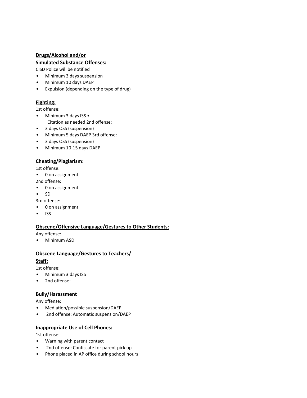# **Drugs/Alcohol and/or**

# **Simulated Substance Offenses:**

CISD Police will be notified

- Minimum 3 days suspension
- Minimum 10 days DAEP
- Expulsion (depending on the type of drug)

# **Fighting:**

1st offense:

- Minimum 3 days ISS •
- Citation as needed 2nd offense:
- 3 days OSS (suspension)
- Minimum 5 days DAEP 3rd offense:
- 3 days OSS (suspension)
- Minimum 10-15 days DAEP

# **Cheating/Plagiarism:**

1st offense:

- 0 on assignment
- 2nd offense:
- 0 on assignment
- SD

3rd offense:

- 0 on assignment
- ISS

#### **Obscene/Offensive Language/Gestures to Other Students:**

Any offense:

• Minimum ASD

# **Obscene Language/Gestures to Teachers/ Staff:**

1st offense:

- Minimum 3 days ISS
- 2nd offense:

# **Bully/Harassment**

Any offense:

- Mediation/possible suspension/DAEP
- 2nd offense: Automatic suspension/DAEP

#### **Inappropriate Use of Cell Phones:**

1st offense:

- Warning with parent contact
- 2nd offense: Confiscate for parent pick up
- Phone placed in AP office during school hours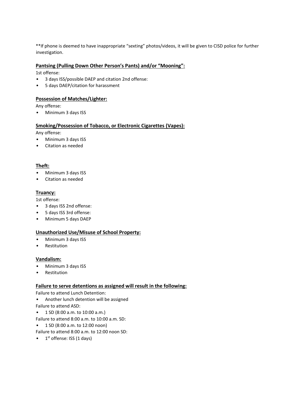\*\*If phone is deemed to have inappropriate "sexting" photos/videos, it will be given to CISD police for further investigation.

#### **Pantsing (Pulling Down Other Person's Pants) and/or "Mooning":**

1st offense:

- 3 days ISS/possible DAEP and citation 2nd offense:
- 5 days DAEP/citation for harassment

## **Possession of Matches/Lighter:**

Any offense:

• Minimum 3 days ISS

## **Smoking/Possession of Tobacco, or Electronic Cigarettes (Vapes):**

Any offense:

- Minimum 3 days ISS
- Citation as needed

## **Theft:**

- Minimum 3 days ISS
- Citation as needed

## **Truancy:**

1st offense:

- 3 days ISS 2nd offense:
- 5 days ISS 3rd offense:
- Minimum 5 days DAEP

# **Unauthorized Use/Misuse of School Property:**

- Minimum 3 days ISS
- Restitution

#### **Vandalism:**

- Minimum 3 days ISS
- Restitution

# **Failure to serve detentions as assigned will result in the following:**

Failure to attend Lunch Detention:

- Another lunch detention will be assigned
- Failure to attend ASD:
- 1 SD (8:00 a.m. to 10:00 a.m.)
- Failure to attend 8:00 a.m. to 10:00 a.m. SD:
- 1 SD (8:00 a.m. to 12:00 noon)
- Failure to attend 8:00 a.m. to 12:00 noon SD:
- $\bullet$  1<sup>st</sup> offense: ISS (1 days)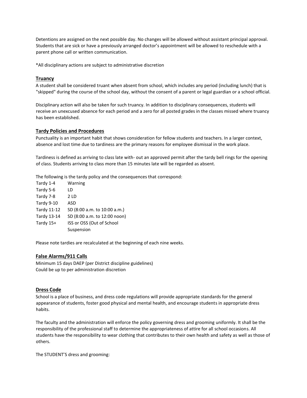Detentions are assigned on the next possible day. No changes will be allowed without assistant principal approval. Students that are sick or have a previously arranged doctor's appointment will be allowed to reschedule with a parent phone call or written communication.

\*All disciplinary actions are subject to administrative discretion

#### **Truancy**

A student shall be considered truant when absent from school, which includes any period (including lunch) that is "skipped" during the course of the school day, without the consent of a parent or legal guardian or a school official.

Disciplinary action will also be taken for such truancy. In addition to disciplinary consequences, students will receive an unexcused absence for each period and a zero for all posted grades in the classes missed where truancy has been established.

#### **Tardy Policies and Procedures**

Punctuality is an important habit that shows consideration for fellow students and teachers. In a larger context, absence and lost time due to tardiness are the primary reasons for employee dismissal in the work place.

Tardiness is defined as arriving to class late with- out an approved permit after the tardy bell rings for the opening of class. Students arriving to class more than 15 minutes late will be regarded as absent.

The following is the tardy policy and the consequences that correspond:

| Tardy 1-4          | Warning                      |
|--------------------|------------------------------|
| Tardy 5-6          | LD                           |
| Tardy 7-8          | 2 LD                         |
| Tardy 9-10         | ASD                          |
| <b>Tardy 11-12</b> | SD (8:00 a.m. to 10:00 a.m.) |
| Tardy 13-14        | SD (8:00 a.m. to 12:00 noon) |
| Tardy 15+          | ISS or OSS (Out of School    |
|                    | Suspension                   |
|                    |                              |

Please note tardies are recalculated at the beginning of each nine weeks.

#### **False Alarms/911 Calls**

Minimum 15 days DAEP (per District discipline guidelines) Could be up to per administration discretion

#### **Dress Code**

School is a place of business, and dress code regulations will provide appropriate standards for the general appearance of students, foster good physical and mental health, and encourage students in appropriate dress habits.

The faculty and the administration will enforce the policy governing dress and grooming uniformly. It shall be the responsibility of the professional staff to determine the appropriateness of attire for all school occasions. All students have the responsibility to wear clothing that contributes to their own health and safety as well as those of others.

The STUDENT'S dress and grooming: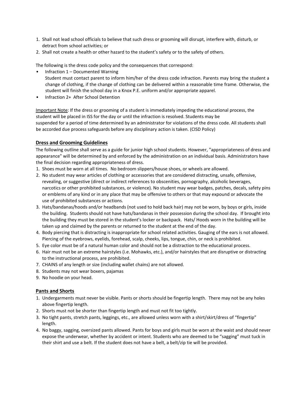- 1. Shall not lead school officials to believe that such dress or grooming will disrupt, interfere with, disturb, or detract from school activities; or
- 2. Shall not create a health or other hazard to the student's safety or to the safety of others.

The following is the dress code policy and the consequences that correspond:

- Infraction 1 Documented Warning Student must contact parent to inform him/her of the dress code infraction. Parents may bring the student a change of clothing, if the change of clothing can be delivered within a reasonable time frame. Otherwise, the student will finish the school day in a Knox P.E. uniform and/or appropriate apparel.
- Infraction 2+ After School Detention

Important Note: If the dress or grooming of a student is immediately impeding the educational process, the student will be placed in ISS for the day or until the infraction is resolved. Students may be suspended for a period of time determined by an administrator for violations of the dress code. All students shall be accorded due process safeguards before any disciplinary action is taken. (CISD Policy)

## **Dress and Grooming Guidelines**

The following outline shall serve as a guide for junior high school students. However, "appropriateness of dress and appearance" will be determined by and enforced by the administration on an individual basis. Administrators have the final decision regarding appropriateness of dress.

- 1. Shoes must be worn at all times. No bedroom slippers/house shoes, or wheels are allowed.
- 2. No student may wear articles of clothing or accessories that are considered distracting, unsafe, offensive, revealing, or suggestive (direct or indirect references to obscenities, pornography, alcoholic beverages, narcotics or other prohibited substances, or violence). No student may wear badges, patches, decals, safety pins or emblems of any kind or in any place that may be offensive to others or that may expound or advocate the use of prohibited substances or actions.
- 3. Hats/bandanas/hoods and/or headbands (not used to hold back hair) may not be worn, by boys or girls, inside the building. Students should not have hats/bandanas in their possession during the school day. If brought into the building they must be stored in the student's locker or backpack. Hats/ Hoods worn in the building will be taken up and claimed by the parents or returned to the student at the end of the day.
- 4. Body piercing that is distracting is inappropriate for school related activities. Gauging of the ears is not allowed. Piercing of the eyebrows, eyelids, forehead, scalp, cheeks, lips, tongue, chin, or neck is prohibited.
- 5. Eye color must be of a natural human color and should not be a distraction to the educational process.
- 6. Hair must not be an extreme hairstyles (i.e. Mohawks, etc.), and/or hairstyles that are disruptive or distracting to the instructional process, are prohibited.
- 7. CHAINS of any length or size (including wallet chains) are not allowed.
- 8. Students may not wear boxers, pajamas
- 9. No hoodie on your head.

# **Pants and Shorts**

- 1. Undergarments must never be visible. Pants or shorts should be fingertip length. There may not be any holes above fingertip length.
- 2. Shorts must not be shorter than fingertip length and must not fit too tightly.
- 3. No tight pants, stretch pants, leggings, etc., are allowed unless worn with a shirt/skirt/dress of "fingertip" length.
- 4. No baggy, sagging, oversized pants allowed. Pants for boys and girls must be worn at the waist and should never expose the underwear, whether by accident or intent. Students who are deemed to be "sagging" must tuck in their shirt and use a belt. If the student does not have a belt, a belt/zip tie will be provided.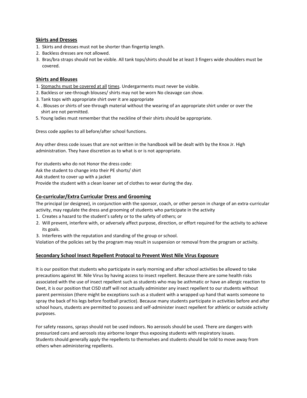## **Skirts and Dresses**

- 1. Skirts and dresses must not be shorter than fingertip length.
- 2. Backless dresses are not allowed.
- 3. Bras/bra straps should not be visible. All tank tops/shirts should be at least 3 fingers wide shoulders must be covered.

## **Shirts and Blouses**

- 1. Stomachs must be covered at all times. Undergarments must never be visible.
- 2. Backless or see-through blouses/ shirts may not be worn No cleavage can show.
- 3. Tank tops with appropriate shirt over it are appropriate
- 4. . Blouses or shirts of see-through material without the wearing of an appropriate shirt under or over the shirt are not permitted.
- 5. Young ladies must remember that the neckline of their shirts should be appropriate.

Dress code applies to all before/after school functions.

Any other dress code issues that are not written in the handbook will be dealt with by the Knox Jr. High administration. They have discretion as to what is or is not appropriate.

For students who do not Honor the dress code:

Ask the student to change into their PE shorts/ shirt

Ask student to cover up with a jacket

Provide the student with a clean loaner set of clothes to wear during the day.

## **Co-curricular/Extra Curricular Dress and Grooming**

The principal (or designee), in conjunction with the sponsor, coach, or other person in charge of an extra-curricular activity, may regulate the dress and grooming of students who participate in the activity

- 1. Creates a hazard to the student's safety or to the safety of others; or
- 2. Will prevent, interfere with, or adversely affect purpose, direction, or effort required for the activity to achieve its goals.
- 3. Interferes with the reputation and standing of the group or school.

Violation of the policies set by the program may result in suspension or removal from the program or activity.

# **Secondary School Insect Repellent Protocol to Prevent West Nile Virus Exposure**

It is our position that students who participate in early morning and after school activities be allowed to take precautions against W. Nile Virus by having access to insect repellent. Because there are some health risks associated with the use of insect repellent such as students who may be asthmatic or have an allergic reaction to Deet, it is our position that CISD staff will not actually administer any insect repellent to our students without parent permission (there might be exceptions such as a student with a wrapped up hand that wants someone to spray the back of his legs before football practice). Because many students participate in activities before and after school hours, students are permitted to possess and self-administer insect repellent for athletic or outside activity purposes.

For safety reasons, sprays should not be used indoors. No aerosols should be used. There are dangers with pressurized cans and aerosols stay airborne longer thus exposing students with respiratory issues. Students should generally apply the repellents to themselves and students should be told to move away from others when administering repellents.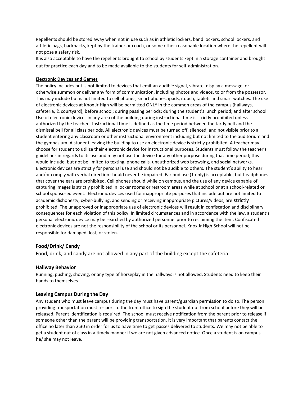Repellents should be stored away when not in use such as in athletic lockers, band lockers, school lockers, and athletic bags, backpacks, kept by the trainer or coach, or some other reasonable location where the repellent will not pose a safety risk.

It is also acceptable to have the repellents brought to school by students kept in a storage container and brought out for practice each day and to be made available to the students for self-administration.

#### **Electronic Devices and Games**

The policy includes but is not limited to devices that emit an audible signal, vibrate, display a message, or otherwise summon or deliver any form of communication, including photos and videos, to or from the possessor. This may include but is not limited to cell phones, smart phones, ipads, itouch, tablets and smart watches. The use of electronic devices at Knox Jr High will be permitted ONLY in the common areas of the campus (hallways, cafeteria, & courtyard); before school; during passing periods; during the student's lunch period; and after school. Use of electronic devices in any area of the building during instructional time is strictly prohibited unless authorized by the teacher. Instructional time is defined as the time period between the tardy bell and the dismissal bell for all class periods. All electronic devices must be turned off, silenced, and not visible prior to a student entering any classroom or other instructional environment including but not limited to the auditorium and the gymnasium. A student leaving the building to use an electronic device is strictly prohibited. A teacher may choose for student to utilize their electronic device for instructional purposes. Students must follow the teacher's guidelines in regards to its use and may not use the device for any other purpose during that time period; this would include, but not be limited to texting, phone calls, unauthorized web browsing, and social networks. Electronic devices are strictly for personal use and should not be audible to others. The student's ability to hear and/or comply with verbal direction should never be impaired. Ear bud use (1 only) is acceptable, but headphones that cover the ears are prohibited. Cell phones should while on campus, and the use of any device capable of capturing images is strictly prohibited in locker rooms or restroom areas while at school or at a school-related or school sponsored event. Electronic devices used for inappropriate purposes that include but are not limited to academic dishonesty, cyber-bullying, and sending or receiving inappropriate pictures/videos, are strictly prohibited. The unapproved or inappropriate use of electronic devices will result in confiscation and disciplinary consequences for each violation of this policy. In limited circumstances and in accordance with the law, a student's personal electronic device may be searched by authorized personnel prior to reclaiming the item. Confiscated electronic devices are not the responsibility of the school or its personnel. Knox Jr High School will not be responsible for damaged, lost, or stolen.

#### **Food/Drink/ Candy**

Food, drink, and candy are not allowed in any part of the building except the cafeteria.

#### **Hallway Behavior**

Running, pushing, shoving, or any type of horseplay in the hallways is not allowed. Students need to keep their hands to themselves.

#### **Leaving Campus During the Day**

Any student who must leave campus during the day must have parent/guardian permission to do so. The person providing transportation must re- port to the front office to sign the student out from school before they will be released. Parent identification is required. The school must receive notification from the parent prior to release if someone other than the parent will be providing transportation. It is very important that parents contact the office no later than 2:30 in order for us to have time to get passes delivered to students. We may not be able to get a student out of class in a timely manner if we are not given advanced notice. Once a student is on campus, he/ she may not leave.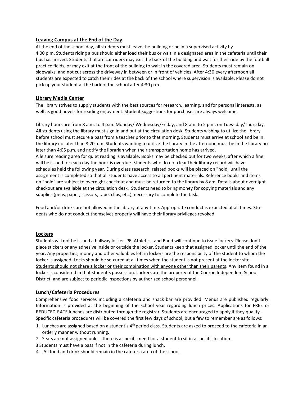## **Leaving Campus at the End of the Day**

At the end of the school day, all students must leave the building or be in a supervised activity by 4:00 p.m. Students riding a bus should either load their bus or wait in a designated area in the cafeteria until their bus has arrived. Students that are car riders may exit the back of the building and wait for their ride by the football practice fields, or may exit at the front of the building to wait in the covered area. Students must remain on sidewalks, and not cut across the driveway in between or in front of vehicles. After 4:30 every afternoon all students are expected to catch their rides at the back of the school where supervision is available. Please do not pick up your student at the back of the school after 4:30 p.m.

## **Library Media Center**

The library strives to supply students with the best sources for research, learning, and for personal interests, as well as good novels for reading enjoyment. Student suggestions for purchases are always welcome.

Library hours are from 8 a.m. to 4 p.m. Monday/ Wednesday/Friday, and 8 am. to 5 p.m. on Tues- day/Thursday. All students using the library must sign in and out at the circulation desk. Students wishing to utilize the library before school must secure a pass from a teacher prior to that morning. Students must arrive at school and be in the library no later than 8:20 a.m. Students wanting to utilize the library in the afternoon must be in the library no later than 4:05 p.m. and notify the librarian when their transportation home has arrived. A leisure reading area for quiet reading is available. Books may be checked out for two weeks, after which a fine will be issued for each day the book is overdue. Students who do not clear their library record will have schedules held the following year. During class research, related books will be placed on "hold" until the assignment is completed so that all students have access to all pertinent materials. Reference books and items on "hold" are subject to overnight checkout and must be returned to the library by 8 am. Details about overnight checkout are available at the circulation desk. Students need to bring money for copying materials and any supplies (pens, paper, scissors, tape, clips, etc.), necessary to complete the task.

Food and/or drinks are not allowed in the library at any time. Appropriate conduct is expected at all times. Students who do not conduct themselves properly will have their library privileges revoked.

#### **Lockers**

Students will not be issued a hallway locker. PE, Athletics, and Band will continue to issue lockers. Please don't place stickers or any adhesive inside or outside the locker. Students keep that assigned locker until the end of the year. Any properties, money and other valuables left in lockers are the responsibility of the student to whom the locker is assigned. Locks should be se-cured at all times when the student is not present at the locker site. Students should not share a locker or their combination with anyone other than their parents. Any item found in a locker is considered in that student's possession. Lockers are the property of the Conroe Independent School District, and are subject to periodic inspections by authorized school personnel.

#### **Lunch/Cafeteria Procedures**

Comprehensive food services including a cafeteria and snack bar are provided. Menus are published regularly. Information is provided at the beginning of the school year regarding lunch prices. Applications for FREE or REDUCED-RATE lunches are distributed through the registrar. Students are encouraged to apply if they qualify. Specific cafeteria procedures will be covered the first few days of school, but a few to remember are as follows:

- 1. Lunches are assigned based on a student's  $4<sup>th</sup>$  period class. Students are asked to proceed to the cafeteria in an orderly manner without running.
- 2. Seats are not assigned unless there is a specific need for a student to sit in a specific location.
- 3 Students must have a pass if not in the cafeteria during lunch.
- 4. All food and drink should remain in the cafeteria area of the school.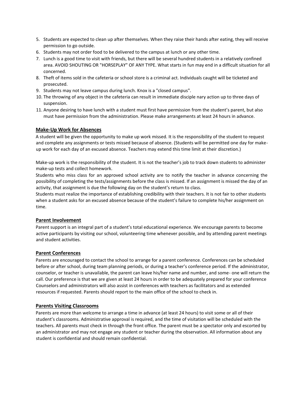- 5. Students are expected to clean up after themselves. When they raise their hands after eating, they will receive permission to go outside.
- 6. Students may not order food to be delivered to the campus at lunch or any other time.
- 7. Lunch is a good time to visit with friends, but there will be several hundred students in a relatively confined area. AVOID SHOUTING OR "HORSEPLAY" OF ANY TYPE. What starts in fun may end in a difficult situation for all concerned.
- 8. Theft of items sold in the cafeteria or school store is a criminal act. Individuals caught will be ticketed and prosecuted.
- 9. Students may not leave campus during lunch. Knox is a "closed campus".
- 10. The throwing of any object in the cafeteria can result in immediate disciple nary action up to three days of suspension.
- 11. Anyone desiring to have lunch with a student must first have permission from the student's parent, but also must have permission from the administration. Please make arrangements at least 24 hours in advance.

# **Make-Up Work for Absences**

A student will be given the opportunity to make up work missed. It is the responsibility of the student to request and complete any assignments or tests missed because of absence. (Students will be permitted one day for makeup work for each day of an excused absence. Teachers may extend this time limit at their discretion.)

Make-up work is the responsibility of the student. It is not the teacher's job to track down students to administer make-up tests and collect homework.

Students who miss class for an approved school activity are to notify the teacher in advance concerning the possibility of completing the tests/assignments before the class is missed. If an assignment is missed the day of an activity, that assignment is due the following day on the student's return to class.

Students must realize the importance of establishing credibility with their teachers. It is not fair to other students when a student asks for an excused absence because of the student's failure to complete his/her assignment on time.

#### **Parent Involvement**

Parent support is an integral part of a student's total educational experience. We encourage parents to become active participants by visiting our school, volunteering time whenever possible, and by attending parent meetings and student activities.

# **Parent Conferences**

Parents are encouraged to contact the school to arrange for a parent conference. Conferences can be scheduled before or after school, during team planning periods, or during a teacher's conference period. If the administrator, counselor, or teacher is unavailable, the parent can leave his/her name and number, and some- one will return the call. Our preference is that we are given at least 24 hours in order to be adequately prepared for your conference Counselors and administrators will also assist in conferences with teachers as facilitators and as extended resources if requested. Parents should report to the main office of the school to check in.

#### **Parents Visiting Classrooms**

Parents are more than welcome to arrange a time in advance (at least 24 hours) to visit some or all of their student's classrooms. Administrative approval is required, and the time of visitation will be scheduled with the teachers. All parents must check in through the front office. The parent must be a spectator only and escorted by an administrator and may not engage any student or teacher during the observation. All information about any student is confidential and should remain confidential.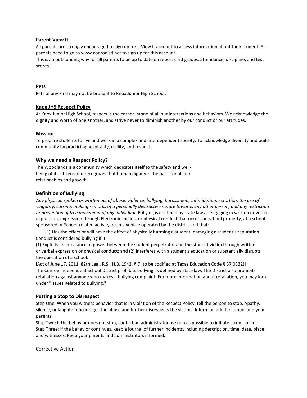## **Parent View It**

All parents are strongly encouraged to sign up for a View It account to access information about their student. All parents need to go to [www.conroeisd.net](http://www.conroeisd.net/) [to](http://www.conroeisd.net/) sign up for this account.

This is an outstanding way for all parents to be up to date on report card grades, attendance, discipline, and test scores.

## **Pets**

Pets of any kind may not be brought to Knox Junior High School.

## **Knox JHS Respect Policy**

At Knox Junior High School, respect is the corner- stone of all our interactions and behaviors. We acknowledge the dignity and worth of one another, and strive never to diminish another by our conduct or our attitudes.

## **Mission**

To prepare students to live and work in a complex and interdependent society. To acknowledge diversity and build community by practicing hospitality, civility, and respect.

## **Why we need a Respect Policy?**

The Woodlands is a community which dedicates itself to the safety and wellbeing of its citizens and recognizes that human dignity is the basis for all our relationships and growth.

## **Definition of Bullying**

*Any physical, spoken or written act of abuse, violence, bullying, harassment, intimidation, extortion, the use of vulgarity, cursing, making remarks of a personally destructive nature towards any other person, and any restriction or prevention of free movement of any individual.* Bullying is de- fined by state law as engaging in written or verbal expression, expression through Electronic means, or physical conduct that occurs on school property, at a schoolsponsored or School-related activity, or in a vehicle operated by the district and that:

(1) Has the effect or will have the effect of physically harming a student, damaging a student's reputation. Conduct is considered bullying if it

(1) Exploits an imbalance of power between the student perpetrator and the student victim through written or verbal expression or physical conduct; and (2) Interferes with a student's education or substantially disrupts the operation of a school.

[Act of June 17, 2011, 82th Leg., R.S., H.B. 1942, § 7 (to be codified at Texas Education Code § 37.0832)] The Conroe Independent School District prohibits bullying as defined by state law. The District also prohibits retaliation against anyone who makes a bullying complaint. For more information about retaliation, you may look under "Issues Related to Bullying."

#### **Putting a Stop to Disrespect**

Step One: When you witness behavior that is in violation of the Respect Policy, tell the person to stop. Apathy, silence, or laughter encourages the abuse and further disrespects the victims. Inform an adult in school and your parents.

Step Two: If the behavior does not stop, contact an administrator as soon as possible to initiate a com- plaint. Step Three: If the behavior continues, keep a journal of further incidents, including description, time, date, place and witnesses. Keep your parents and administrators informed.

Corrective Action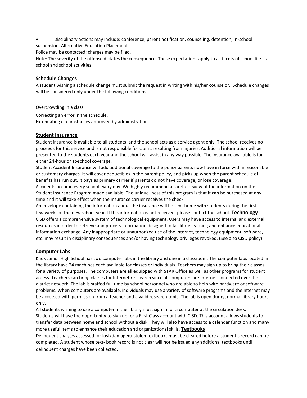• Disciplinary actions may include: conference, parent notification, counseling, detention, in-school suspension, Alternative Education Placement.

Police may be contacted; charges may be filed.

Note: The severity of the offense dictates the consequence. These expectations apply to all facets of school life – at school and school activities.

## **Schedule Changes**

A student wishing a schedule change must submit the request in writing with his/her counselor. Schedule changes will be considered only under the following conditions:

Overcrowding in a class.

Correcting an error in the schedule. Extenuating circumstances approved by administration

## **Student Insurance**

Student insurance is available to all students, and the school acts as a service agent only. The school receives no proceeds for this service and is not responsible for claims resulting from injuries. Additional information will be presented to the students each year and the school will assist in any way possible. The insurance available is for either 24-hour or at-school coverage.

Student Accident Insurance will add additional coverage to the policy parents now have in force within reasonable or customary charges. It will cover deductibles in the parent policy, and picks up when the parent schedule of benefits has run out. It pays as primary carrier if parents do not have coverage, or lose coverage. Accidents occur in every school every day. We highly recommend a careful review of the information on the Student Insurance Program made available. The unique- ness of this program is that it can be purchased at any

time and it will take effect when the insurance carrier receives the check. An envelope containing the information about the insurance will be sent home with students during the first

few weeks of the new school year. If this information is not received, please contact the school. **Technology** CISD offers a comprehensive system of technological equipment. Users may have access to internal and external resources in order to retrieve and process information designed to facilitate learning and enhance educational information exchange. Any inappropriate or unauthorized use of the Internet, technology equipment, software, etc. may result in disciplinary consequences and/or having technology privileges revoked. (See also CISD policy)

# **Computer Labs**

Knox Junior High School has two computer labs in the library and one in a classroom. The computer labs located in the library have 24 machines each available for classes or individuals. Teachers may sign up to bring their classes for a variety of purposes. The computers are all equipped with STAR Office as well as other programs for student access. Teachers can bring classes for Internet re- search since all computers are Internet-connected over the district network. The lab is staffed full time by school personnel who are able to help with hardware or software problems. When computers are available, individuals may use a variety of software programs and the Internet may be accessed with permission from a teacher and a valid research topic. The lab is open during normal library hours only.

All students wishing to use a computer in the library must sign in for a computer at the circulation desk. Students will have the opportunity to sign up for a First Class account with CISD. This account allows students to transfer data between home and school without a disk. They will also have access to a calendar function and many more useful items to enhance their education and organizational skills. **Textbooks**

Delinquent charges assessed for lost/damaged/ stolen textbooks must be cleared before a student's record can be completed. A student whose text- book record is not clear will not be issued any additional textbooks until delinquent charges have been collected.